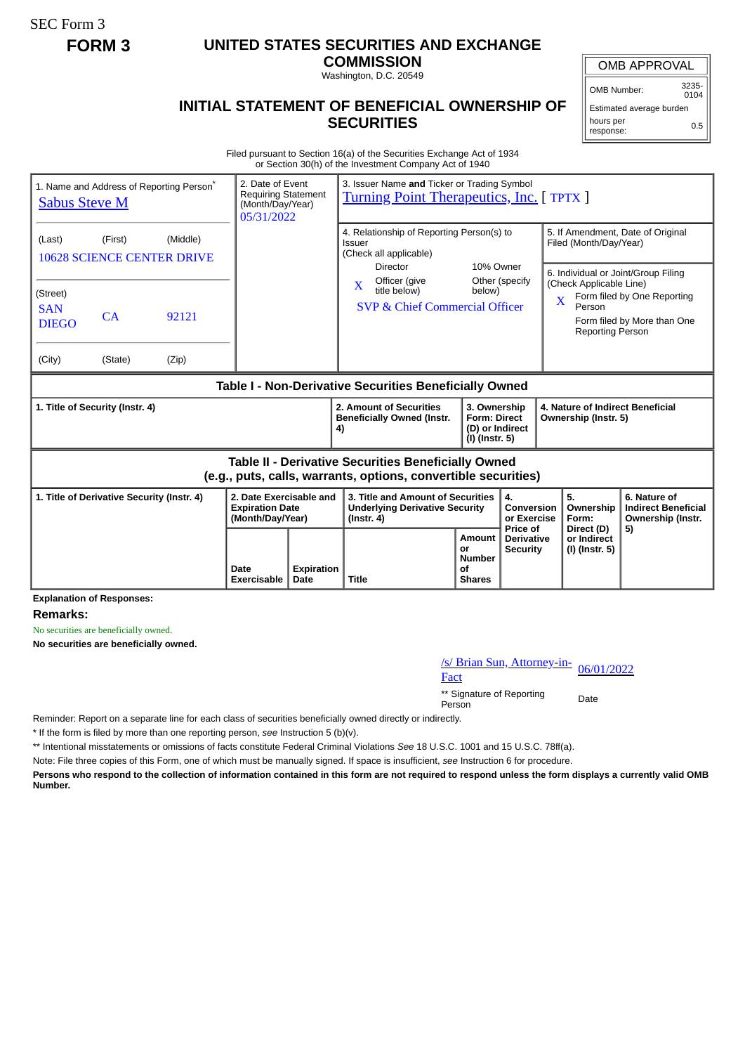SEC Form 3

## **FORM 3 UNITED STATES SECURITIES AND EXCHANGE**

**COMMISSION** Washington, D.C. 20549

OMB APPROVAL

OMB Number: 3235-  $0104$ 

## **INITIAL STATEMENT OF BENEFICIAL OWNERSHIP OF SECURITIES**

Estimated average burden hours per response: 0.5

Filed pursuant to Section 16(a) of the Securities Exchange Act of 1934 or Section 30(h) of the Investment Company Act of 1940

| 1. Name and Address of Reporting Person <sup>*</sup><br><b>Sabus Steve M</b>                                          |               |                | 2. Date of Event<br><b>Requiring Statement</b><br>(Month/Day/Year)<br>05/31/2022 |                                                                               | 3. Issuer Name and Ticker or Trading Symbol<br><b>Turning Point Therapeutics, Inc.</b> [TPTX ] |                                                                          |                                                             |                                                                                                                                                                                  |                                        |                                                                       |
|-----------------------------------------------------------------------------------------------------------------------|---------------|----------------|----------------------------------------------------------------------------------|-------------------------------------------------------------------------------|------------------------------------------------------------------------------------------------|--------------------------------------------------------------------------|-------------------------------------------------------------|----------------------------------------------------------------------------------------------------------------------------------------------------------------------------------|----------------------------------------|-----------------------------------------------------------------------|
| (Middle)<br>(First)<br>(Last)<br><b>10628 SCIENCE CENTER DRIVE</b>                                                    |               |                |                                                                                  | 4. Relationship of Reporting Person(s) to<br>Issuer<br>(Check all applicable) |                                                                                                |                                                                          | 5. If Amendment, Date of Original<br>Filed (Month/Day/Year) |                                                                                                                                                                                  |                                        |                                                                       |
| (Street)<br><b>SAN</b><br><b>DIEGO</b><br>(City)                                                                      | CA<br>(State) | 92121<br>(Zip) |                                                                                  |                                                                               | Director<br>Officer (give<br>X<br>title below)<br>SVP & Chief Commercial Officer               | 10% Owner<br>Other (specify<br>below)                                    |                                                             | 6. Individual or Joint/Group Filing<br>(Check Applicable Line)<br>Form filed by One Reporting<br>$\mathbf X$<br>Person<br>Form filed by More than One<br><b>Reporting Person</b> |                                        |                                                                       |
| Table I - Non-Derivative Securities Beneficially Owned                                                                |               |                |                                                                                  |                                                                               |                                                                                                |                                                                          |                                                             |                                                                                                                                                                                  |                                        |                                                                       |
| 1. Title of Security (Instr. 4)                                                                                       |               |                |                                                                                  |                                                                               | 2. Amount of Securities<br><b>Beneficially Owned (Instr.</b><br>4)                             | 3. Ownership<br><b>Form: Direct</b><br>(D) or Indirect<br>(I) (Instr. 5) |                                                             | 4. Nature of Indirect Beneficial<br>Ownership (Instr. 5)                                                                                                                         |                                        |                                                                       |
| Table II - Derivative Securities Beneficially Owned<br>(e.g., puts, calls, warrants, options, convertible securities) |               |                |                                                                                  |                                                                               |                                                                                                |                                                                          |                                                             |                                                                                                                                                                                  |                                        |                                                                       |
| 1. Title of Derivative Security (Instr. 4)                                                                            |               |                | 2. Date Exercisable and<br><b>Expiration Date</b><br>(Month/Day/Year)            |                                                                               | 3. Title and Amount of Securities<br><b>Underlying Derivative Security</b><br>$($ lnstr. 4 $)$ |                                                                          | 4.<br><b>Conversion</b><br>or Exercise<br>Price of          |                                                                                                                                                                                  | 5.<br>Ownership<br>Form:<br>Direct (D) | 6. Nature of<br><b>Indirect Beneficial</b><br>Ownership (Instr.<br>5) |
|                                                                                                                       |               |                | Date<br>Exercisable                                                              | <b>Expiration</b><br>Date                                                     | <b>Title</b>                                                                                   | Amount<br>or<br><b>Number</b><br>οf<br><b>Shares</b>                     | <b>Derivative</b><br><b>Security</b>                        |                                                                                                                                                                                  | or Indirect<br>(I) (Instr. 5)          |                                                                       |

**Explanation of Responses:**

**Remarks:**

No securities are beneficially owned.

**No securities are beneficially owned.**

/s/ Brian Sun, Attorney-in-<br>Fact

\*\* Signature of Reporting Person Date

Reminder: Report on a separate line for each class of securities beneficially owned directly or indirectly.

\* If the form is filed by more than one reporting person, *see* Instruction 5 (b)(v).

\*\* Intentional misstatements or omissions of facts constitute Federal Criminal Violations *See* 18 U.S.C. 1001 and 15 U.S.C. 78ff(a).

Note: File three copies of this Form, one of which must be manually signed. If space is insufficient, *see* Instruction 6 for procedure.

**Persons who respond to the collection of information contained in this form are not required to respond unless the form displays a currently valid OMB Number.**